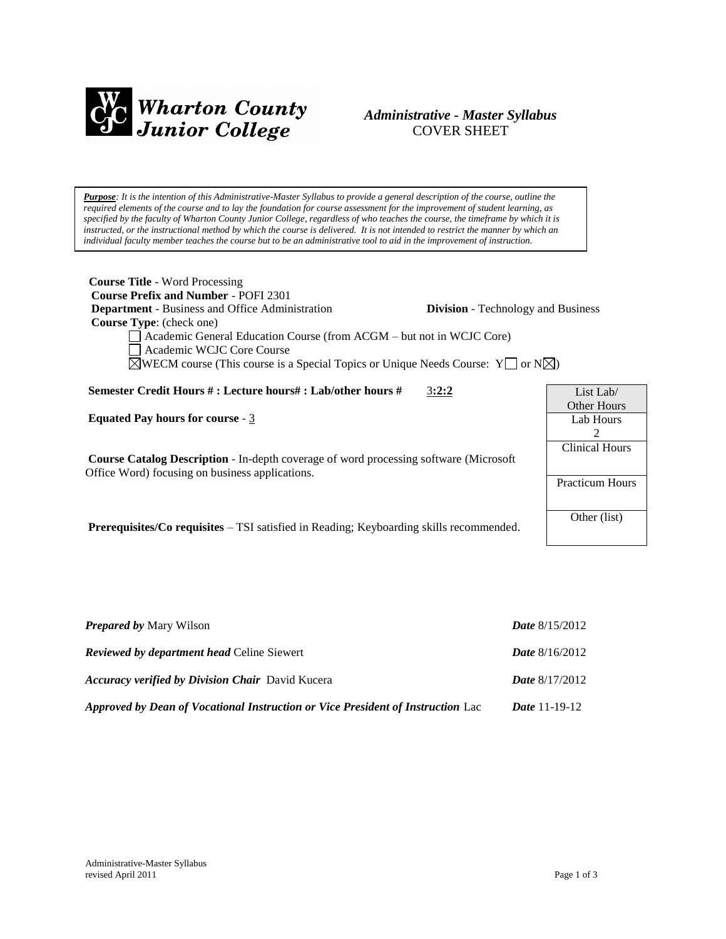

## *Administrative - Master Syllabus*  COVER SHEET

*Purpose: It is the intention of this Administrative-Master Syllabus to provide a general description of the course, outline the required elements of the course and to lay the foundation for course assessment for the improvement of student learning, as specified by the faculty of Wharton County Junior College, regardless of who teaches the course, the timeframe by which it is instructed, or the instructional method by which the course is delivered. It is not intended to restrict the manner by which an individual faculty member teaches the course but to be an administrative tool to aid in the improvement of instruction.*

| <b>Course Title - Word Processing</b><br><b>Course Prefix and Number - POFI 2301</b><br><b>Department</b> - Business and Office Administration<br><b>Course Type:</b> (check one)<br>Academic General Education Course (from ACGM – but not in WCJC Core)<br>Academic WCJC Core Course<br>$\boxtimes$ WECM course (This course is a Special Topics or Unique Needs Course: Y $\Box$ or N $\boxtimes$ ) | <b>Division</b> - Technology and Business |                                                        |
|--------------------------------------------------------------------------------------------------------------------------------------------------------------------------------------------------------------------------------------------------------------------------------------------------------------------------------------------------------------------------------------------------------|-------------------------------------------|--------------------------------------------------------|
| Semester Credit Hours # : Lecture hours# : Lab/other hours #                                                                                                                                                                                                                                                                                                                                           | 3:2:2                                     | List Lab $\ell$                                        |
| <b>Equated Pay hours for course - 3</b><br><b>Course Catalog Description</b> - In-depth coverage of word processing software (Microsoft)<br>Office Word) focusing on business applications.                                                                                                                                                                                                            |                                           | Other Hours<br>Lab Hours<br>2<br><b>Clinical Hours</b> |
|                                                                                                                                                                                                                                                                                                                                                                                                        |                                           | <b>Practicum Hours</b><br>Other (list)                 |

**Prerequisites/Co requisites** – TSI satisfied in Reading; Keyboarding skills recommended.

| <b>Prepared by Mary Wilson</b>                                                  | <b>Date</b> $8/15/2012$ |
|---------------------------------------------------------------------------------|-------------------------|
| <b>Reviewed by department head Celine Siewert</b>                               | <b>Date</b> $8/16/2012$ |
| <b>Accuracy verified by Division Chair</b> David Kucera                         | <b>Date</b> $8/17/2012$ |
| Approved by Dean of Vocational Instruction or Vice President of Instruction Lac | <i>Date</i> 11-19-12    |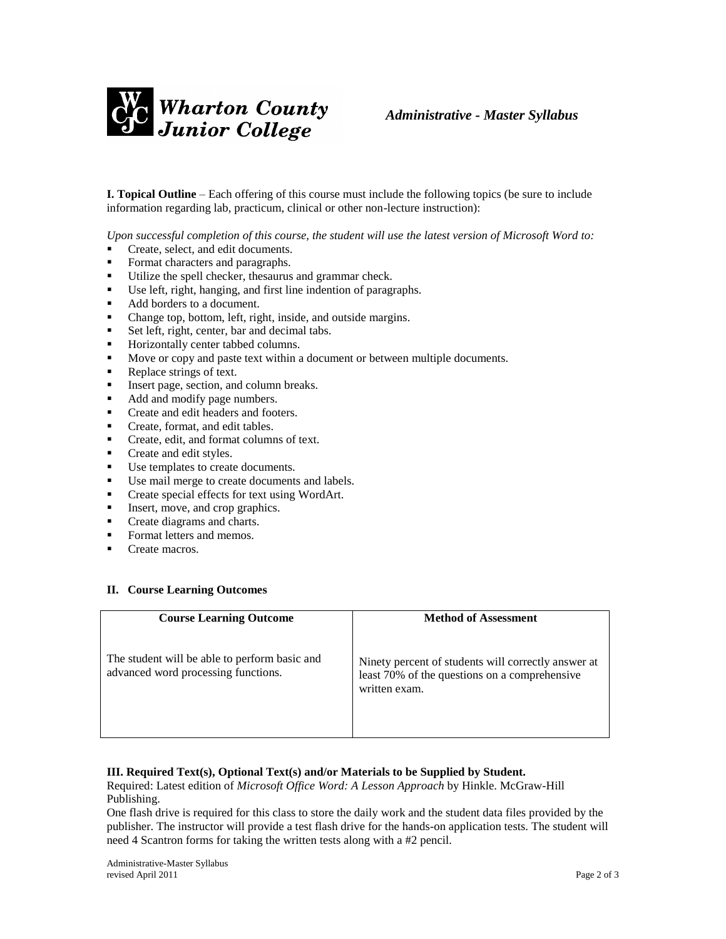

**I. Topical Outline** – Each offering of this course must include the following topics (be sure to include information regarding lab, practicum, clinical or other non-lecture instruction):

*Upon successful completion of this course, the student will use the latest version of Microsoft Word to:*

- Create, select, and edit documents.
- Format characters and paragraphs.
- Utilize the spell checker, thesaurus and grammar check.
- Use left, right, hanging, and first line indention of paragraphs.
- Add borders to a document.
- Change top, bottom, left, right, inside, and outside margins.
- Set left, right, center, bar and decimal tabs.
- **Horizontally center tabbed columns.**
- Move or copy and paste text within a document or between multiple documents.
- Replace strings of text.
- Insert page, section, and column breaks.
- Add and modify page numbers.
- Create and edit headers and footers.
- Create, format, and edit tables.
- **Create, edit, and format columns of text.**
- Create and edit styles.
- Use templates to create documents.
- Use mail merge to create documents and labels.
- Create special effects for text using WordArt.
- Insert, move, and crop graphics.
- Create diagrams and charts.
- Format letters and memos.
- Create macros.

## **II. Course Learning Outcomes**

| <b>Course Learning Outcome</b>                                                       | <b>Method of Assessment</b>                                                                                           |
|--------------------------------------------------------------------------------------|-----------------------------------------------------------------------------------------------------------------------|
| The student will be able to perform basic and<br>advanced word processing functions. | Ninety percent of students will correctly answer at<br>least 70% of the questions on a comprehensive<br>written exam. |

## **III. Required Text(s), Optional Text(s) and/or Materials to be Supplied by Student.**

Required: Latest edition of *Microsoft Office Word: A Lesson Approach* by Hinkle. McGraw-Hill Publishing.

One flash drive is required for this class to store the daily work and the student data files provided by the publisher. The instructor will provide a test flash drive for the hands-on application tests. The student will need 4 Scantron forms for taking the written tests along with a #2 pencil.